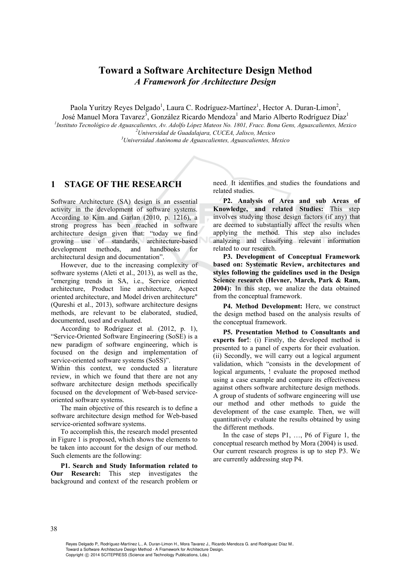# **Toward a Software Architecture Design Method**  *A Framework for Architecture Design*

Paola Yuritzy Reyes Delgado<sup>1</sup>, Laura C. Rodríguez-Martínez<sup>1</sup>, Hector A. Duran-Limon<sup>2</sup>,

José Manuel Mora Tavarez<sup>3</sup>, González Ricardo Mendoza<sup>1</sup> and Mario Alberto Rodríguez Díaz<sup>1</sup>

*1 Instituto Tecnológico de Aguascalientes, Av. Adolfo López Mateos No. 1801, Fracc. Bona Gens, Aguascalientes, Mexico 2 Universidad de Guadalajara, CUCEA, Jalisco, Mexico 3*

*Universidad Autónoma de Aguascalientes, Aguascalientes, Mexico* 

# **1 STAGE OF THE RESEARCH**

Software Architecture (SA) design is an essential activity in the development of software systems. According to Kim and Garlan (2010, p. 1216), a strong progress has been reached in software architecture design given that: "today we find growing use of standards, architecture-based development methods, and handbooks for architectural design and documentation".

However, due to the increasing complexity of software systems (Aleti et al., 2013), as well as the, "emerging trends in SA, i.e., Service oriented architecture, Product line architecture, Aspect oriented architecture, and Model driven architecture" (Qureshi et al., 2013), software architecture designs methods, are relevant to be elaborated, studied, documented, used and evaluated.

According to Rodríguez et al. (2012, p. 1), "Service-Oriented Software Engineering (SoSE) is a new paradigm of software engineering, which is focused on the design and implementation of service-oriented software systems (SoSS)".

Within this context, we conducted a literature review, in which we found that there are not any software architecture design methods specifically focused on the development of Web-based serviceoriented software systems.

The main objective of this research is to define a software architecture design method for Web-based service-oriented software systems.

To accomplish this, the research model presented in Figure 1 is proposed, which shows the elements to be taken into account for the design of our method. Such elements are the following:

**P1. Search and Study Information related to Our Research:** This step investigates the background and context of the research problem or need. It identifies and studies the foundations and related studies.

**P2. Analysis of Area and sub Areas of Knowledge, and related Studies:** This step involves studying those design factors (if any) that are deemed to substantially affect the results when applying the method. This step also includes analyzing and classifying relevant information related to our research.

**P3. Development of Conceptual Framework based on: Systematic Review, architectures and styles following the guidelines used in the Design Science research (Hevner, March, Park & Ram, 2004):** In this step, we analize the data obtained from the conceptual framework.

**P4. Method Development:** Here, we construct the design method based on the analysis results of the conceptual framework.

**P5. Presentation Method to Consultants and experts for!**: (i) Firstly, the developed method is presented to a panel of experts for their evaluation. (ii) Secondly, we will carry out a logical argument validation, which "consists in the development of logical arguments, ! evaluate the proposed method using a case example and compare its effectiveness against others software architecture design methods. A group of students of software engineering will use our method and other methods to guide the development of the case example. Then, we will quantitatively evaluate the results obtained by using the different methods.

In the case of steps P1, …, P6 of Figure 1, the conceptual research method by Mora (2004) is used. Our current research progress is up to step P3. We are currently addressing step P4.

Reyes Delgado P., Rodríguez-Martínez L., A. Duran-Limon H., Mora Tavarez J., Ricardo Mendoza G. and Rodríguez Díaz M.. Toward a Software Architecture Design Method - A Framework for Architecture Design. Copyright © 2014 SCITEPRESS (Science and Technology Publications, Lda.)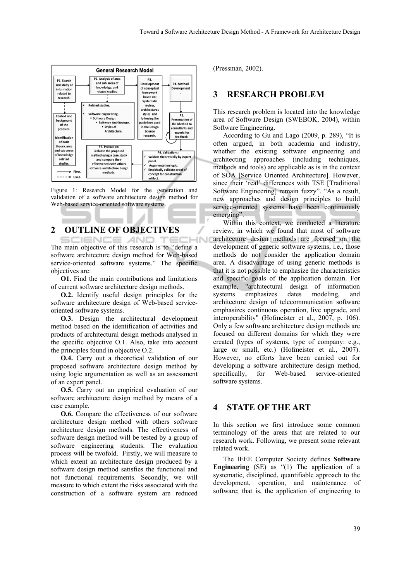

Figure 1: Research Model for the generation and validation of a software architecture design method for Web-based service-oriented software systems.

# **2 OUTLINE OF OBJECTIVES**

**SCIENCE AND** The main objective of this research is to "define a software architecture design method for Web-based service-oriented software systems." The specific objectives are:

**O1.** Find the main contributions and limitations of current software architecture design methods.

**O.2.** Identify useful design principles for the software architecture design of Web-based serviceoriented software systems.

**O.3.** Design the architectural development method based on the identification of activities and products of architectural design methods analysed in the specific objective O.1. Also, take into account the principles found in objective O.2.

**O.4.** Carry out a theoretical validation of our proposed software architecture design method by using logic argumentation as well as an assessment of an expert panel.

**O.5.** Carry out an empirical evaluation of our software architecture design method by means of a case example.

**O.6.** Compare the effectiveness of our software architecture design method with others software architecture design methods. The effectiveness of software design method will be tested by a group of software engineering students. The evaluation process will be twofold. Firstly, we will measure to which extent an architecture design produced by a software design method satisfies the functional and not functional requirements. Secondly, we will measure to which extent the risks associated with the construction of a software system are reduced

(Pressman, 2002).

# **3 RESEARCH PROBLEM**

This research problem is located into the knowledge area of Software Design (SWEBOK, 2004), within Software Engineering.

According to Gu and Lago (2009, p. 289), "It is often argued, in both academia and industry, whether the existing software engineering and architecting approaches (including techniques, methods and tools) are applicable as is in the context of SOA [Service Oriented Architecture]. However, since their 'real' differences with TSE [Traditional Software Engineering] remain fuzzy". "As a result, new approaches and design principles to build service-oriented systems have been continuously emerging".

Within this context, we conducted a literature review, in which we found that most of software architecture design methods are focused on the development of generic software systems, i.e., those methods do not consider the application domain area. A disadvantage of using generic methods is that it is not possible to emphasize the characteristics and specific goals of the application domain. For example, "architectural design of information systems emphasizes dates modeling, and architecture design of telecommunication software emphasizes continuous operation, live upgrade, and interoperability" (Hofmeister et al., 2007, p. 106). Only a few software architecture design methods are focused on different domains for which they were created (types of systems, type of company: e.g., large or small, etc.) (Hofmeister et al., 2007). However, no efforts have been carried out for developing a software architecture design method, specifically, for Web-based service-oriented software systems.

## **4 STATE OF THE ART**

In this section we first introduce some common terminology of the areas that are related to our research work. Following, we present some relevant related work.

The IEEE Computer Society defines **Software Engineering** (SE) as "(1) The application of a systematic, disciplined, quantifiable approach to the development, operation, and maintenance of software; that is, the application of engineering to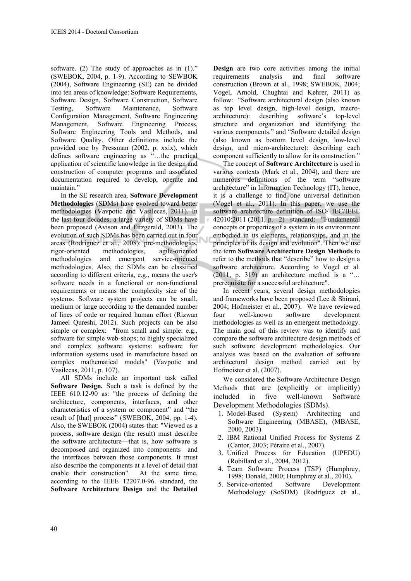software. (2) The study of approaches as in  $(1)$ ." (SWEBOK, 2004, p. 1-9). According to SEWBOK (2004), Software Engineering (SE) can be divided into ten areas of knowledge: Software Requirements, Software Design, Software Construction, Software Testing, Software Maintenance, Software Configuration Management, Software Engineering Management, Software Engineering Process, Software Engineering Tools and Methods, and Software Quality. Other definitions include the provided one by Pressman (2002, p. xxix), which defines software engineering as "…the practical application of scientific knowledge in the design and construction of computer programs and associated documentation required to develop, operate and maintain."

In the SE research area, **Software Development Methodologies** (SDMs) have evolved toward better methodologies (Vavpotic and Vasilecas, 2011). In the last four decades, a large variety of SDMs have been proposed (Avison and Fitzgerald, 2003). The evolution of such SDMs has been carried out in four areas (Rodríguez et al., 2008): pre-methodologies, rigor-oriented methodologies, agile-oriented methodologies and emergent service-oriented methodologies. Also, the SDMs can be classified according to different criteria, e.g., means the user's software needs in a functional or non-functional requirements or means the complexity size of the systems. Software system projects can be small, medium or large according to the demanded number of lines of code or required human effort (Rizwan Jameel Qureshi, 2012). Such projects can be also simple or complex: "from small and simple: e.g., software for simple web-shops; to highly specialized and complex software systems: software for information systems used in manufacture based on complex mathematical models" (Vavpotic and Vasilecas, 2011, p. 107).

All SDMs include an important task called **Software Design.** Such a task is defined by the IEEE 610.12-90 as: "the process of defining the architecture, components, interfaces, and other characteristics of a system or component" and "the result of [that] process" (SWEBOK, 2004, pp. 1-4). Also, the SWEBOK (2004) states that: "Viewed as a process, software design (the result) must describe the software architecture—that is, how software is decomposed and organized into components—and the interfaces between those components. It must also describe the components at a level of detail that enable their construction". At the same time, according to the IEEE 12207.0-96. standard, the **Software Architecture Design** and the **Detailed** 

**Design** are two core activities among the initial requirements analysis and final software construction (Brown et al., 1998; SWEBOK, 2004; Vogel, Arnold, Chughtai and Kehrer, 2011) as follow: "Software architectural design (also known as top level design, high-level design, macroarchitecture): describing software's top-level structure and organization and identifying the various components." and "Software detailed design (also known as bottom level design, low-level design, and micro-architecture): describing each component sufficiently to allow for its construction."

The concept of **Software Architecture** is used in various contexts (Mark et al., 2004), and there are numerous definitions of the term "software architecture" in Information Technology (IT), hence, it is a challenge to find one universal definition (Vogel et al., 2011). In this paper, we use the software architecture definition of ISO/ IEC/IEEE 42010:2011 (2011, p. 2) standard: "Fundamental concepts or properties of a system in its environment embodied in its elements, relationships, and in the principles of its design and evolution". Then we use the term **Software Architecture Design Methods** to refer to the methods that "describe" how to design a software architecture. According to Vogel et al. (2011, p. 319) an architecture method is a "… prerequisite for a successful architecture".

In recent years, several design methodologies and frameworks have been proposed (Lee & Shirani, 2004; Hofmeister et al., 2007). We have reviewed four well-known software development methodologies as well as an emergent methodology. The main goal of this review was to identify and compare the software architecture design methods of such software development methodologies. Our analysis was based on the evaluation of software architectural design method carried out by Hofmeister et al. (2007).

We considered the Software Architecture Design Methods that are (explicitly or implicitly) included in five well-known Software Development Methodologies (SDMs).

- 1. Model-Based (System) Architecting and Software Engineering (MBASE), (MBASE, 2000, 2003)
- 2. IBM Rational Unified Process for Systems Z (Cantor, 2003; Péraire et al., 2007).
- 3. Unified Process for Education (UPEDU) (Robillard et al., 2004, 2012).
- 4. Team Software Process (TSP) (Humphrey, 1998; Donald, 2000; Humphrey et al., 2010).
- 5. Service-oriented Software Development Methodology (SoSDM) (Rodríguez et al.,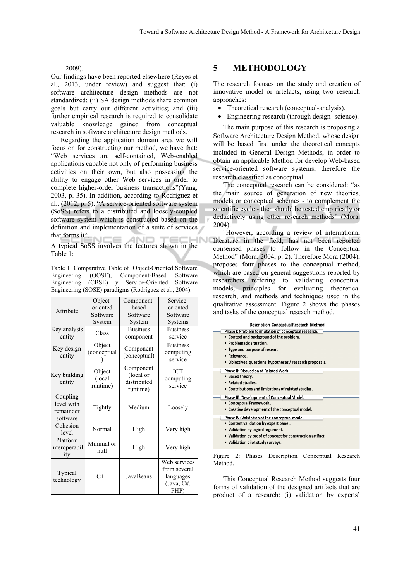#### 2009).

Our findings have been reported elsewhere (Reyes et al., 2013, under review) and suggest that: (i) software architecture design methods are not standardized; (ii) SA design methods share common goals but carry out different activities; and (iii) further empirical research is required to consolidate valuable knowledge gained from conceptual research in software architecture design methods.

Regarding the application domain area we will focus on for constructing our method, we have that: "Web services are self-contained, Web-enabled applications capable not only of performing business activities on their own, but also possessing the ability to engage other Web services in order to complete higher-order business transactions"(Yang, 2003, p. 35). In addition, according to Rodríguez et al., (2012, p. 5). "A service-oriented software system (SoSS) refers to a distributed and loosely-coupled software system which is constructed based on the definition and implementation of a suite of services that forms it". **AND** n i  $r = c$ 

A typical SoSS involves the features shown in the Table 1:

Table 1: Comparative Table of Object-Oriented Software Engineering (OOSE), Component-Based Software Engineering (CBSE) y Service-Oriented Software Engineering (SOSE) paradigms (Rodríguez et al., 2004).

| Attribute                                       | Object-                      | Component-                                        | Service-                                                        |
|-------------------------------------------------|------------------------------|---------------------------------------------------|-----------------------------------------------------------------|
|                                                 | oriented                     | based                                             | oriented                                                        |
|                                                 | Software                     | Software                                          | Software                                                        |
|                                                 | System                       | System                                            | Systems                                                         |
| Key analysis<br>entity                          | Class                        | <b>Business</b>                                   | <b>Business</b>                                                 |
|                                                 |                              | component                                         | service                                                         |
| Key design<br>entity                            | Object<br>(conceptual        | Component<br>(conceptual)                         | <b>Business</b><br>computing<br>service                         |
| Key building<br>entity                          | Object<br>(local<br>runtime) | Component<br>(local or<br>distributed<br>runtime) | <b>ICT</b><br>computing<br>service                              |
| Coupling<br>level with<br>remainder<br>software | Tightly                      | Medium                                            | Loosely                                                         |
| Cohesion<br>level                               | Normal                       | High                                              | Very high                                                       |
| Platform<br>Interoperabil<br>ity                | Minimal or<br>null           | High                                              | Very high                                                       |
| Typical<br>technology                           | $C++$                        | JavaBeans                                         | Web services<br>from several<br>languages<br>(Java, C#,<br>PHP) |

### **5 METHODOLOGY**

The research focuses on the study and creation of innovative model or artefacts, using two research approaches:

- Theoretical research (conceptual-analysis).
- Engineering research (through design- science).

The main purpose of this research is proposing a Software Architecture Design Method, whose design will be based first under the theoretical concepts included in General Design Methods, in order to obtain an applicable Method for develop Web-based service-oriented software systems, therefore the research classified as conceptual.

The conceptual research can be considered: "as the main source of generation of new theories, models or conceptual schemes - to complement the scientific cycle - then should be tested empirically or deductively using other research methods" (Mora, 2004).

"However, according a review of international literature in the field, has not been reported consensed phases to follow in the Conceptual Method" (Mora, 2004, p. 2). Therefore Mora (2004), proposes four phases to the conceptual method, which are based on general suggestions reported by researchers reffering to validating conceptual models, principles for evaluating theoretical research, and methods and techniques used in the qualitative assessment. Figure 2 shows the phases and tasks of the conceptual reseach method.

| <b>Description Conceptual Research Method</b>               |
|-------------------------------------------------------------|
| Phase I: Problem formulation of conceptual research.        |
| • Context and background of the problem.                    |
| • Problematic situation.                                    |
| • Type and purpose of research.                             |
| • Relevance.                                                |
| • Objectives, questions, hypotheses / research proposals.   |
| Phase II: Discussion of Related Work.                       |
| • Based theory.                                             |
| • Related studies.                                          |
| • Contributions and limitations of related studies.         |
| Phase III: Development of Conceptual Model.                 |
| • Conceptual Framework.                                     |
| • Creative development of the conceptual model.             |
| Phase IV: Validation of the conceptual model.               |
| • Content validation by expert panel.                       |
| • Validation by logical argument.                           |
| • Validation by proof of concept for construction artifact. |
| • Validation pilot study surveys.                           |
|                                                             |

Figure 2: Phases Description Conceptual Research Method.

This Conceptual Research Method suggests four forms of validation of the designed artifacts that are product of a research: (i) validation by experts'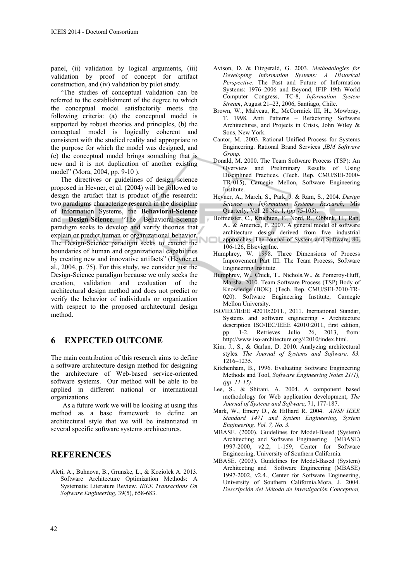panel, (ii) validation by logical arguments, (iii) validation by proof of concept for artifact construction, and (iv) validation by pilot study.

"The studies of conceptual validation can be referred to the establishment of the degree to which the conceptual model satisfactorily meets the following criteria: (a) the conceptual model is supported by robust theories and principles, (b) the conceptual model is logically coherent and consistent with the studied reality and appropriate to the purpose for which the model was designed, and (c) the conceptual model brings something that is new and it is not duplication of another existing model" (Mora, 2004, pp. 9-10 ).

The directives or guidelines of design science proposed in Hevner, et al. (2004) will be followed to design the artifact that is product of the research: two paradigms characterize research in the discipline of Information Systems, the **Behavioral-Science** and **Design-Science**. "The Behavioral-Science paradigm seeks to develop and verify theories that explain or predict human or organizational behavior. The Design-Science paradigm seeks to extend the boundaries of human and organizational capabilities by creating new and innovative artifacts" (Hevner et al., 2004, p. 75). For this study, we consider just the Design-Science paradigm because we only seeks the creation, validation and evaluation of the architectural design method and does not predict or verify the behavior of individuals or organization with respect to the proposed architectural design method.

#### **6 EXPECTED OUTCOME**

The main contribution of this research aims to define a software architecture design method for designing the architecture of Web-based service-oriented software systems. Our method will be able to be applied in different national or international organizations.

As a future work we will be looking at using this method as a base framework to define an architectural style that we will be instantiated in several specific software systems architectures.

#### **REFERENCES**

Aleti, A., Buhnova, B., Grunske, L., & Koziolek A. 2013. Software Architecture Optimization Methods: A Systematic Literature Review. *IEEE Transactions On Software Engineering*, 39(5), 658-683.

- Avison, D. & Fitzgerald, G. 2003. *Methodologies for Developing Information Systems: A Historical Perspective*. The Past and Future of Information Systems: 1976–2006 and Beyond, IFIP 19th World Computer Congress, TC-8, *Information System Stream*, August 21–23, 2006, Santiago, Chile.
- Brown, W., Malveau, R., McCormick III, H., Mowbray, T. 1998. Anti Patterns – Refactoring Software Architectures, and Projects in Crisis, John Wiley & Sons, New York.
- Cantor, M. .2003. Rational Unified Process for Systems Engineering. Rational Brand Services ,*IBM Software Group.*
- Donald, M. 2000. The Team Software Process (TSP): An Overview and Preliminary Results of Using Disciplined Practices. (Tech. Rep. CMU/SEI-2000- TR-015), Carnegie Mellon, Software Engineering Institute.
- Hevner, A., March, S., Park, J. & Ram, S., 2004. *Design Science in Information Systems Research*, Mis Quarterly, Vol. 28 No. 1, (pp 75-105).
- Hofmeister, C., Kruchten, F., Nord, R., Obbink, H., Ran, A., & America, P. 2007. A general model of software architecture design derived from five industrial approaches. The Journal of System and Software, 80, 106-126, Elsevier Inc.
- Humphrey, W. 1998. Three Dimensions of Process Improvement Part III: The Team Process, Software Engineering Institute.
- Humphrey, W., Chick, T., Nichols,W., & Pomeroy-Huff, Marsha. 2010. Team Software Process (TSP) Body of Knowledge (BOK). (Tech. Rep. CMU/SEI-2010-TR-020). Software Engineering Institute, Carnegie Mellon University.
- ISO/IEC/IEEE 42010:2011., 2011. Inernational Standar, Systems and software engineering - Architecture description ISO/IEC/IEEE 42010:2011, first edition, pp. 1-2. Retrieves Julio 26, 2013, from: http://www.iso-architecture.org/42010/index.html.
- Kim, J., S., & Garlan, D. 2010. Analyzing architectural styles. *The Journal of Systems and Software, 83,*  1216–1235.
- Kitchenham, B., 1996. Evaluating Software Engineering Methods and Tool, *Software Engineering Notes 21(1), (pp. 11-15).*
- Lee, S., & Shirani, A. 2004. A component based methodology for Web application development, *The Journal of Systems and Software*, 71, 177-187.
- Mark, W., Emery D., & Hilliard R. 2004. *ANSI/ IEEE Standard 1471 and System Engineering, System Engineering, Vol. 7, No. 3.*
- MBASE. (2000). Guidelines for Model-Based (System) Architecting and Software Engineering (MBASE) 1997-2000, v2.2, 1-159, Center for Software Engineering, University of Southern California.
- MBASE. (2003). Guidelines for Model-Based (System) Architecting and Software Engineering (MBASE) 1997-2002, v2.4., Center for Software Engineering, University of Southern California.Mora, J. 2004. *Descripción del Método de Investigación Conceptual,*